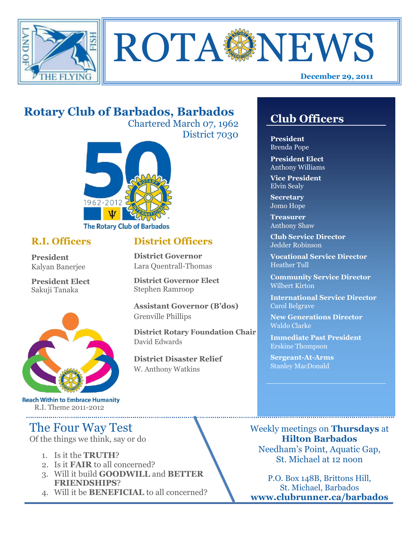



# **Rotary Club of Barbados, Barbados**

Chartered March 07, 1962 District 7030



#### **R.I. Officers**

**President**  Kalyan Banerjee

**President Elect** Sakuji Tanaka



**Reach Within to Embrace Humanity** R.I. Theme 2011-2012

# The Four Way Test

Of the things we think, say or do

- 1. Is it the **TRUTH**?
- 2. Is it **FAIR** to all concerned?
- 3. Will it build **GOODWILL** and **BETTER FRIENDSHIPS**?
- 4. Will it be **BENEFICIAL** to all concerned?

## **Club Officers**

**Club Officers** 

**President** Brenda Pope

**President Elect** Anthony Williams

**Vice President** Elvin Sealy

**Secretary** Jomo Hope

**Treasurer** Anthony Shaw

**Club Service Director** Jedder Robinson

**Vocational Service Director** Heather Tull

**Community Service Director** Wilbert Kirton

**International Service Director** Carol Belgrave

**New Generations Director** Waldo Clarke

**Immediate Past President** Erskine Thompson

**Sergeant-At-Arms** Stanley MacDonald

Weekly meetings on **Thursdays** at **Hilton Barbados** Needham's Point, Aquatic Gap, St. Michael at 12 noon

P.O. Box 148B, Brittons Hill, St. Michael, Barbados **www.clubrunner.ca/barbados**

### **District Officers**

**District Governor** Lara Quentrall-Thomas

**District Governor Elect** Stephen Ramroop

**Assistant Governor (B'dos)** Grenville Phillips

**District Rotary Foundation Chair** David Edwards

**District Disaster Relief** W. Anthony Watkins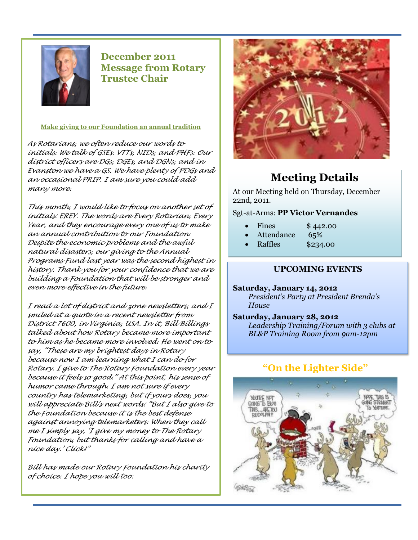

**December 2011 Message from Rotary Trustee Chair**

**Make giving to our Foundation an annual tradition**

*As Rotarians, we often reduce our words to initials. We talk of GSEs. VTTs, NIDs, and PHFs. Our district officers are DGs, DGEs, and DGNs, and in Evanston we have a GS. We have plenty of PDGs and an occasional PRIP. I am sure you could add many more.* 

*This month, I would like to focus on another set of initials: EREY. The words are Every Rotarian, Every Year, and they encourage every one of us to make an annual contribution to our Foundation. Despite the economic problems and the awful natural disasters, our giving to the Annual Programs Fund last year was the second highest in history. Thank you for your confidence that we are building a Foundation that will be stronger and even more effective in the future.* 

*I read a lot of district and zone newsletters, and I smiled at a quote in a recent newsletter from District 7600, in Virginia, USA. In it, Bill Billings talked about how Rotary became more important to him as he became more involved. He went on to say, "These are my brightest days in Rotary because now I am learning what I can do for Rotary. I give to The Rotary Foundation every year because it feels so good." At this point, his sense of humor came through. I am not sure if every country has telemarketing, but if yours does, you will appreciate Bill's next words: "But I also give to the Foundation because it is the best defense against annoying telemarketers. When they call me I simply say, 'I give my money to The Rotary Foundation, but thanks for calling and have a nice day.' Click!"* 

*Bill has made our Rotary Foundation his charity of choice. I hope you will too.* 



# **Meeting Details**

At our Meeting held on Thursday, December 22nd, 2011.

Sgt-at-Arms: **PP Victor Vernandes**

- Fines \$442.00
- Attendance 65%
- Raffles \$234.00

#### **UPCOMING EVENTS**

**Saturday, January 14, 2012** *President's Party at President Brenda's House*

**Saturday, January 28, 2012** *Leadership Training/Forum with 3 clubs at BL&P Training Room from 9am-12pm*

#### **"On the Lighter Side"**

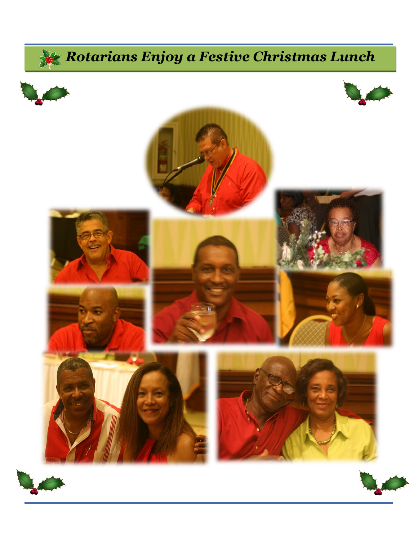# *Rotarians Enjoy a Festive Christmas Lunch*